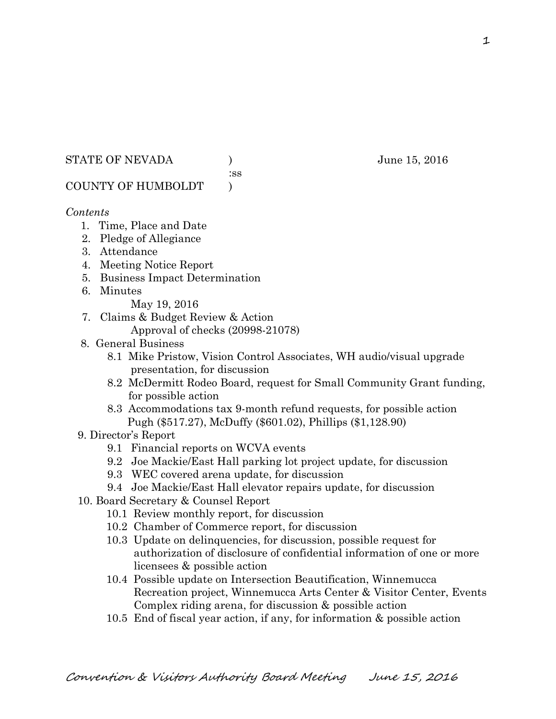### STATE OF NEVADA ) June 15, 2016

:ss

# COUNTY OF HUMBOLDT )

# *Contents*

- 1. Time, Place and Date
- 2. Pledge of Allegiance
- 3. Attendance
- 4. Meeting Notice Report
- 5. Business Impact Determination
- 6. Minutes
	- May 19, 2016
- 7. Claims & Budget Review & Action
	- Approval of checks (20998-21078)
- 8. General Business
	- 8.1 Mike Pristow, Vision Control Associates, WH audio/visual upgrade presentation, for discussion
	- 8.2 McDermitt Rodeo Board, request for Small Community Grant funding, for possible action
	- 8.3 Accommodations tax 9-month refund requests, for possible action Pugh (\$517.27), McDuffy (\$601.02), Phillips (\$1,128.90)
- 9. Director's Report
	- 9.1 Financial reports on WCVA events
	- 9.2 Joe Mackie/East Hall parking lot project update, for discussion
	- 9.3 WEC covered arena update, for discussion
	- 9.4 Joe Mackie/East Hall elevator repairs update, for discussion
- 10. Board Secretary & Counsel Report
	- 10.1 Review monthly report, for discussion
	- 10.2 Chamber of Commerce report, for discussion
	- 10.3 Update on delinquencies, for discussion, possible request for authorization of disclosure of confidential information of one or more licensees & possible action
	- 10.4 Possible update on Intersection Beautification, Winnemucca Recreation project, Winnemucca Arts Center & Visitor Center, Events Complex riding arena, for discussion & possible action
	- 10.5 End of fiscal year action, if any, for information & possible action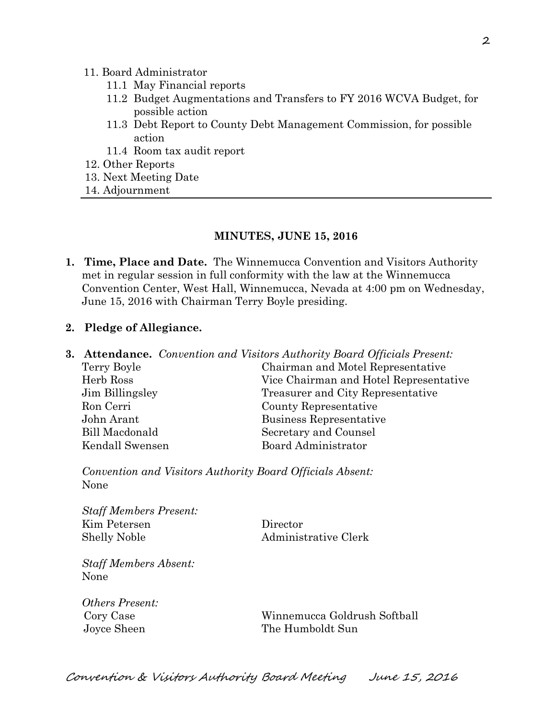#### 11. Board Administrator

- 11.1 May Financial reports
- 11.2 Budget Augmentations and Transfers to FY 2016 WCVA Budget, for possible action
- 11.3 Debt Report to County Debt Management Commission, for possible action
- 11.4 Room tax audit report
- 12. Other Reports
- 13. Next Meeting Date
- 14. Adjournment

#### **MINUTES, JUNE 15, 2016**

**1. Time, Place and Date.** The Winnemucca Convention and Visitors Authority met in regular session in full conformity with the law at the Winnemucca Convention Center, West Hall, Winnemucca, Nevada at 4:00 pm on Wednesday, June 15, 2016 with Chairman Terry Boyle presiding.

#### **2. Pledge of Allegiance.**

|                 | <b>3. Attendance.</b> Convention and Visitors Authority Board Officials Present: |
|-----------------|----------------------------------------------------------------------------------|
| Terry Boyle     | Chairman and Motel Representative                                                |
| Herb Ross       | Vice Chairman and Hotel Representative                                           |
| Jim Billingsley | Treasurer and City Representative                                                |
| Ron Cerri       | County Representative                                                            |
| John Arant      | Business Representative                                                          |
| Bill Macdonald  | Secretary and Counsel                                                            |
| Kendall Swensen | <b>Board Administrator</b>                                                       |
|                 |                                                                                  |

*Convention and Visitors Authority Board Officials Absent:*  None

*Staff Members Present:*  Kim Petersen Director Shelly Noble Administrative Clerk

*Staff Members Absent:*  None

*Others Present:* 

 Cory Case Winnemucca Goldrush Softball Joyce Sheen The Humboldt Sun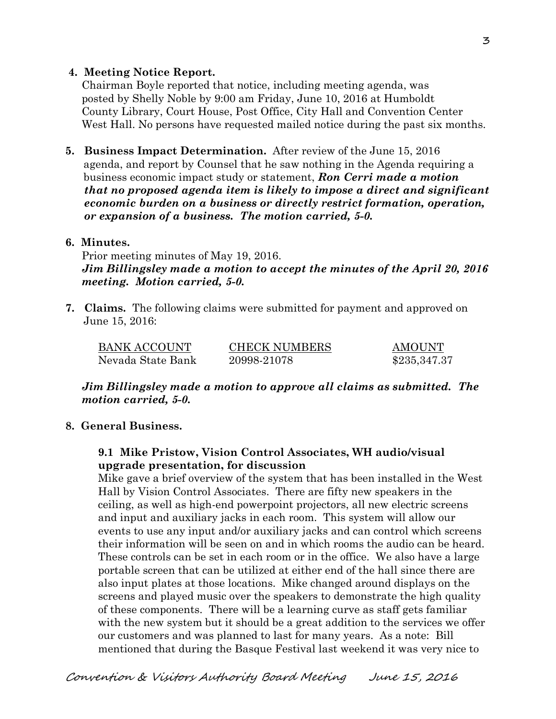### **4. Meeting Notice Report.**

Chairman Boyle reported that notice, including meeting agenda, was posted by Shelly Noble by 9:00 am Friday, June 10, 2016 at Humboldt County Library, Court House, Post Office, City Hall and Convention Center West Hall. No persons have requested mailed notice during the past six months.

**5. Business Impact Determination.** After review of the June 15, 2016 agenda, and report by Counsel that he saw nothing in the Agenda requiring a business economic impact study or statement, *Ron Cerri made a motion that no proposed agenda item is likely to impose a direct and significant economic burden on a business or directly restrict formation, operation, or expansion of a business. The motion carried, 5-0.* 

### **6. Minutes.**

Prior meeting minutes of May 19, 2016. *Jim Billingsley made a motion to accept the minutes of the April 20, 2016 meeting. Motion carried, 5-0.* 

**7. Claims.** The following claims were submitted for payment and approved on June 15, 2016:

| <b>BANK ACCOUNT</b> | <b>CHECK NUMBERS</b> | AMOUNT       |
|---------------------|----------------------|--------------|
| Nevada State Bank   | 20998-21078          | \$235,347.37 |

*Jim Billingsley made a motion to approve all claims as submitted. The motion carried, 5-0.* 

### **8. General Business.**

### **9.1 Mike Pristow, Vision Control Associates, WH audio/visual upgrade presentation, for discussion**

Mike gave a brief overview of the system that has been installed in the West Hall by Vision Control Associates. There are fifty new speakers in the ceiling, as well as high-end powerpoint projectors, all new electric screens and input and auxiliary jacks in each room. This system will allow our events to use any input and/or auxiliary jacks and can control which screens their information will be seen on and in which rooms the audio can be heard. These controls can be set in each room or in the office. We also have a large portable screen that can be utilized at either end of the hall since there are also input plates at those locations. Mike changed around displays on the screens and played music over the speakers to demonstrate the high quality of these components. There will be a learning curve as staff gets familiar with the new system but it should be a great addition to the services we offer our customers and was planned to last for many years. As a note: Bill mentioned that during the Basque Festival last weekend it was very nice to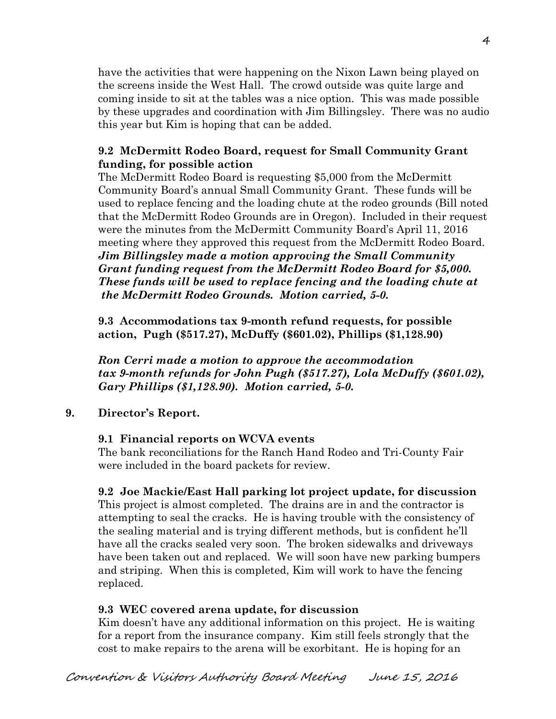have the activities that were happening on the Nixon Lawn being played on the screens inside the West Hall. The crowd outside was quite large and coming inside to sit at the tables was a nice option. This was made possible by these upgrades and coordination with Jim Billingsley. There was no audio this year but Kim is hoping that can be added.

# **9.2 McDermitt Rodeo Board, request for Small Community Grant funding, for possible action**

The McDermitt Rodeo Board is requesting \$5,000 from the McDermitt Community Board's annual Small Community Grant. These funds will be used to replace fencing and the loading chute at the rodeo grounds (Bill noted that the McDermitt Rodeo Grounds are in Oregon). Included in their request were the minutes from the McDermitt Community Board's April 11, 2016 meeting where they approved this request from the McDermitt Rodeo Board. *Jim Billingsley made a motion approving the Small Community Grant funding request from the McDermitt Rodeo Board for \$5,000. These funds will be used to replace fencing and the loading chute at the McDermitt Rodeo Grounds. Motion carried, 5-0.* 

**9.3 Accommodations tax 9-month refund requests, for possible action, Pugh (\$517.27), McDuffy (\$601.02), Phillips (\$1,128.90)** 

*Ron Cerri made a motion to approve the accommodation tax 9-month refunds for John Pugh (\$517.27), Lola McDuffy (\$601.02), Gary Phillips (\$1,128.90). Motion carried, 5-0.*

# **9. Director's Report.**

# **9.1 Financial reports on WCVA events**

The bank reconciliations for the Ranch Hand Rodeo and Tri-County Fair were included in the board packets for review.

# **9.2 Joe Mackie/East Hall parking lot project update, for discussion**

This project is almost completed. The drains are in and the contractor is attempting to seal the cracks. He is having trouble with the consistency of the sealing material and is trying different methods, but is confident he'll have all the cracks sealed very soon. The broken sidewalks and driveways have been taken out and replaced. We will soon have new parking bumpers and striping. When this is completed, Kim will work to have the fencing replaced.

# **9.3 WEC covered arena update, for discussion**

Kim doesn't have any additional information on this project. He is waiting for a report from the insurance company. Kim still feels strongly that the cost to make repairs to the arena will be exorbitant. He is hoping for an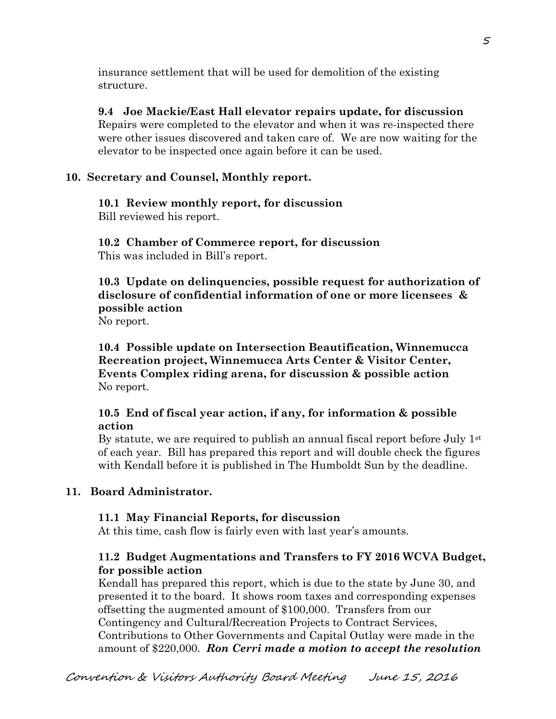insurance settlement that will be used for demolition of the existing structure.

**9.4 Joe Mackie/East Hall elevator repairs update, for discussion**  Repairs were completed to the elevator and when it was re-inspected there were other issues discovered and taken care of. We are now waiting for the elevator to be inspected once again before it can be used.

# **10. Secretary and Counsel, Monthly report.**

#### **10.1 Review monthly report, for discussion**  Bill reviewed his report.

**10.2 Chamber of Commerce report, for discussion**  This was included in Bill's report.

**10.3 Update on delinquencies, possible request for authorization of disclosure of confidential information of one or more licensees & possible action** 

No report.

**10.4 Possible update on Intersection Beautification, Winnemucca Recreation project, Winnemucca Arts Center & Visitor Center, Events Complex riding arena, for discussion & possible action**  No report.

# **10.5 End of fiscal year action, if any, for information & possible action**

By statute, we are required to publish an annual fiscal report before July 1<sup>st</sup> of each year. Bill has prepared this report and will double check the figures with Kendall before it is published in The Humboldt Sun by the deadline.

# **11. Board Administrator.**

# **11.1 May Financial Reports, for discussion**

At this time, cash flow is fairly even with last year's amounts.

# **11.2 Budget Augmentations and Transfers to FY 2016 WCVA Budget, for possible action**

Kendall has prepared this report, which is due to the state by June 30, and presented it to the board. It shows room taxes and corresponding expenses offsetting the augmented amount of \$100,000. Transfers from our Contingency and Cultural/Recreation Projects to Contract Services, Contributions to Other Governments and Capital Outlay were made in the amount of \$220,000. *Ron Cerri made a motion to accept the resolution*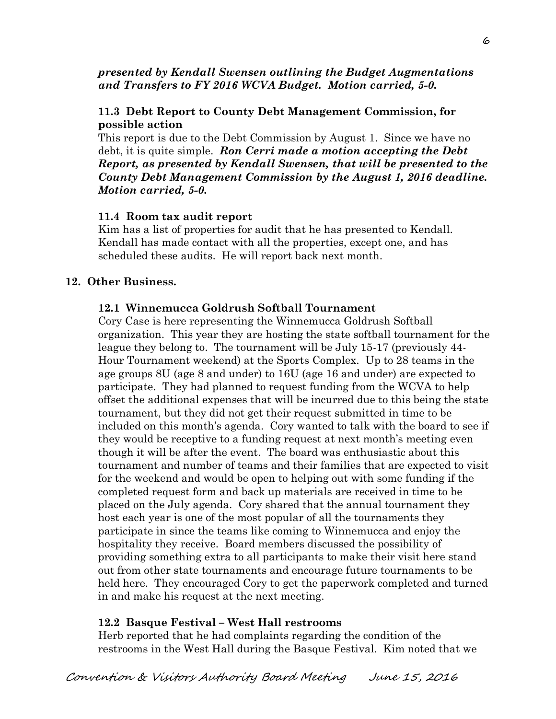*presented by Kendall Swensen outlining the Budget Augmentations and Transfers to FY 2016 WCVA Budget. Motion carried, 5-0.* 

# **11.3 Debt Report to County Debt Management Commission, for possible action**

This report is due to the Debt Commission by August 1. Since we have no debt, it is quite simple. *Ron Cerri made a motion accepting the Debt Report, as presented by Kendall Swensen, that will be presented to the County Debt Management Commission by the August 1, 2016 deadline. Motion carried, 5-0.* 

# **11.4 Room tax audit report**

Kim has a list of properties for audit that he has presented to Kendall. Kendall has made contact with all the properties, except one, and has scheduled these audits. He will report back next month.

# **12. Other Business.**

# **12.1 Winnemucca Goldrush Softball Tournament**

Cory Case is here representing the Winnemucca Goldrush Softball organization. This year they are hosting the state softball tournament for the league they belong to. The tournament will be July 15-17 (previously 44- Hour Tournament weekend) at the Sports Complex. Up to 28 teams in the age groups 8U (age 8 and under) to 16U (age 16 and under) are expected to participate. They had planned to request funding from the WCVA to help offset the additional expenses that will be incurred due to this being the state tournament, but they did not get their request submitted in time to be included on this month's agenda. Cory wanted to talk with the board to see if they would be receptive to a funding request at next month's meeting even though it will be after the event. The board was enthusiastic about this tournament and number of teams and their families that are expected to visit for the weekend and would be open to helping out with some funding if the completed request form and back up materials are received in time to be placed on the July agenda. Cory shared that the annual tournament they host each year is one of the most popular of all the tournaments they participate in since the teams like coming to Winnemucca and enjoy the hospitality they receive. Board members discussed the possibility of providing something extra to all participants to make their visit here stand out from other state tournaments and encourage future tournaments to be held here. They encouraged Cory to get the paperwork completed and turned in and make his request at the next meeting.

# **12.2 Basque Festival – West Hall restrooms**

Herb reported that he had complaints regarding the condition of the restrooms in the West Hall during the Basque Festival. Kim noted that we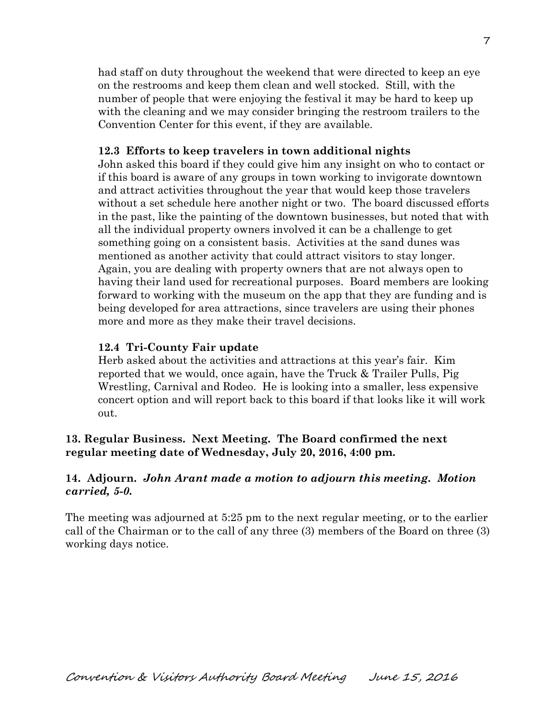had staff on duty throughout the weekend that were directed to keep an eye on the restrooms and keep them clean and well stocked. Still, with the number of people that were enjoying the festival it may be hard to keep up with the cleaning and we may consider bringing the restroom trailers to the Convention Center for this event, if they are available.

### **12.3 Efforts to keep travelers in town additional nights**

John asked this board if they could give him any insight on who to contact or if this board is aware of any groups in town working to invigorate downtown and attract activities throughout the year that would keep those travelers without a set schedule here another night or two. The board discussed efforts in the past, like the painting of the downtown businesses, but noted that with all the individual property owners involved it can be a challenge to get something going on a consistent basis. Activities at the sand dunes was mentioned as another activity that could attract visitors to stay longer. Again, you are dealing with property owners that are not always open to having their land used for recreational purposes. Board members are looking forward to working with the museum on the app that they are funding and is being developed for area attractions, since travelers are using their phones more and more as they make their travel decisions.

### **12.4 Tri-County Fair update**

Herb asked about the activities and attractions at this year's fair. Kim reported that we would, once again, have the Truck & Trailer Pulls, Pig Wrestling, Carnival and Rodeo. He is looking into a smaller, less expensive concert option and will report back to this board if that looks like it will work out.

### **13. Regular Business. Next Meeting. The Board confirmed the next regular meeting date of Wednesday, July 20, 2016, 4:00 pm.**

### **14. Adjourn.** *John Arant made a motion to adjourn this meeting. Motion carried, 5-0.*

The meeting was adjourned at 5:25 pm to the next regular meeting, or to the earlier call of the Chairman or to the call of any three (3) members of the Board on three (3) working days notice.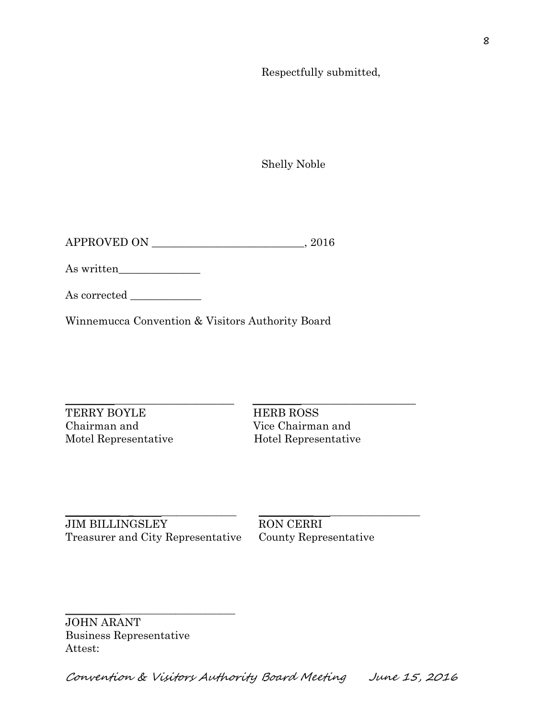Respectfully submitted,

Shelly Noble

APPROVED ON \_\_\_\_\_\_\_\_\_\_\_\_\_\_\_\_\_\_\_\_\_\_\_\_\_\_\_\_, 2016

As written\_\_\_\_\_\_\_\_\_\_\_\_\_\_\_

As corrected \_\_\_\_\_\_\_\_\_\_\_\_\_

Winnemucca Convention & Visitors Authority Board

 $\_$  ,  $\_$  ,  $\_$  ,  $\_$  ,  $\_$  ,  $\_$  ,  $\_$  ,  $\_$  ,  $\_$  ,  $\_$  ,  $\_$  ,  $\_$  ,  $\_$  ,  $\_$  ,  $\_$  ,  $\_$  ,  $\_$  ,  $\_$  ,  $\_$  ,  $\_$  ,  $\_$  ,  $\_$  ,  $\_$  ,  $\_$  ,  $\_$  ,  $\_$  ,  $\_$  ,  $\_$  ,  $\_$  ,  $\_$  ,  $\_$  ,  $\_$  ,  $\_$  ,  $\_$  ,  $\_$  ,  $\_$  ,  $\_$  , TERRY BOYLE HERB ROSS Chairman and Vice Chairman and Motel Representative Hotel Representative

\_\_\_\_\_\_\_\_\_\_\_ \_ \_\_\_\_\_\_\_\_\_\_\_\_\_\_\_ \_\_\_\_\_\_\_\_\_\_\_ \_\_\_\_\_\_\_\_\_\_\_\_\_\_\_\_\_\_ JIM BILLINGSLEY RON CERRI Treasurer and City Representative County Representative

\_\_\_\_\_\_\_\_\_\_\_\_\_\_\_\_\_\_\_\_\_\_\_\_\_\_\_\_\_\_\_\_\_\_

JOHN ARANT Business Representative Attest: